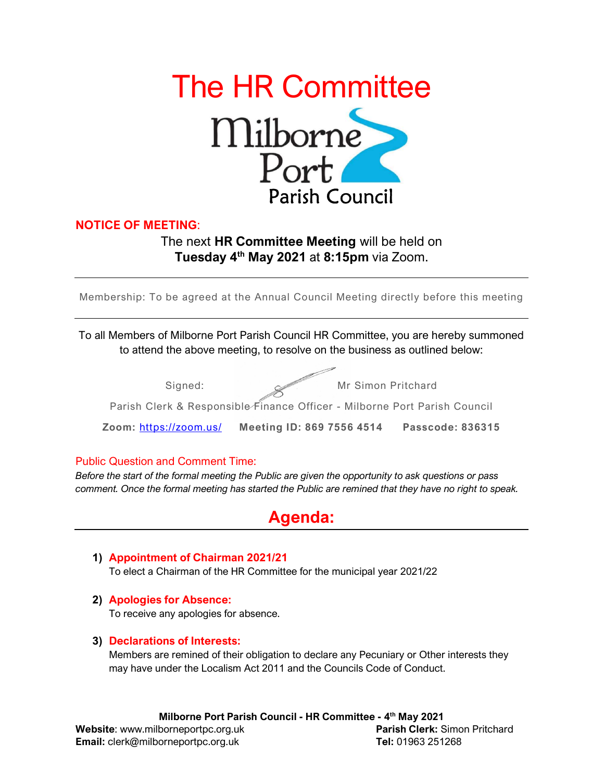

### NOTICE OF MEETING:

## The next HR Committee Meeting will be held on Tuesday 4<sup>th</sup> May 2021 at 8:15pm via Zoom.

Membership: To be agreed at the Annual Council Meeting directly before this meeting

To all Members of Milborne Port Parish Council HR Committee, you are hereby summoned to attend the above meeting, to resolve on the business as outlined below:

| Signed:                                                                   | Mr Simon Pritchard                               |                         |
|---------------------------------------------------------------------------|--------------------------------------------------|-------------------------|
| Parish Clerk & Responsible Finance Officer - Milborne Port Parish Council |                                                  |                         |
|                                                                           | Zoom: https://zoom.us/ Meeting ID: 869 7556 4514 | <b>Passcode: 836315</b> |

#### Public Question and Comment Time:

Before the start of the formal meeting the Public are given the opportunity to ask questions or pass comment. Once the formal meeting has started the Public are remined that they have no right to speak.

# Agenda:

- 1) Appointment of Chairman 2021/21 To elect a Chairman of the HR Committee for the municipal year 2021/22
- 2) Apologies for Absence:

To receive any apologies for absence.

#### 3) Declarations of Interests:

Members are remined of their obligation to declare any Pecuniary or Other interests they may have under the Localism Act 2011 and the Councils Code of Conduct.

Website: www.milborneportpc.org.uk Parish Clerk: Simon Pritchard Email: clerk@milborneportpc.org.uk Tel: 01963 251268